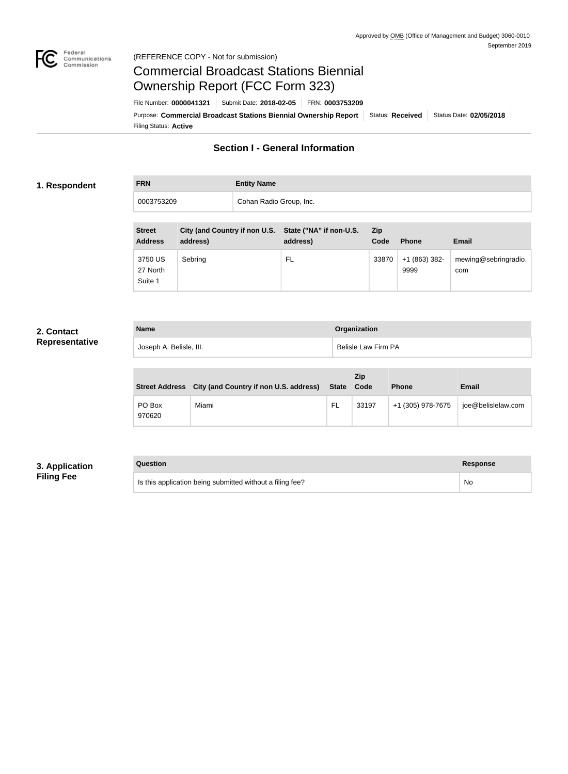

#### Federal<br>Communications<br>Commission (REFERENCE COPY - Not for submission)

# Commercial Broadcast Stations Biennial Ownership Report (FCC Form 323)

Filing Status: **Active** Purpose: Commercial Broadcast Stations Biennial Ownership Report Status: Received Status Date: 02/05/2018 File Number: **0000041321** Submit Date: **2018-02-05** FRN: **0003753209**

# **Section I - General Information**

#### **1. Respondent**

**FRN Entity Name** 0003753209 Cohan Radio Group, Inc.

| <b>Street</b><br><b>Address</b> | City (and Country if non U.S. State ("NA" if non-U.S.<br>address) | address) | <b>Zip</b><br>Code | <b>Phone</b>            | <b>Email</b>                |
|---------------------------------|-------------------------------------------------------------------|----------|--------------------|-------------------------|-----------------------------|
| 3750 US<br>27 North<br>Suite 1  | Sebring                                                           | FL       | 33870              | $+1$ (863) 382-<br>9999 | mewing@sebringradio.<br>com |

## **2. Contact Representative**

| <b>Name</b>             | <b>Organization</b> |
|-------------------------|---------------------|
| Joseph A. Belisle, III. | Belisle Law Firm PA |

|                  | Street Address City (and Country if non U.S. address) State Code |    | <b>Zip</b> | <b>Phone</b>      | <b>Email</b>       |
|------------------|------------------------------------------------------------------|----|------------|-------------------|--------------------|
| PO Box<br>970620 | Miami                                                            | FL | 33197      | +1 (305) 978-7675 | joe@belislelaw.com |

## **3. Application Filing Fee**

## **Question Response**

Is this application being submitted without a filing fee? No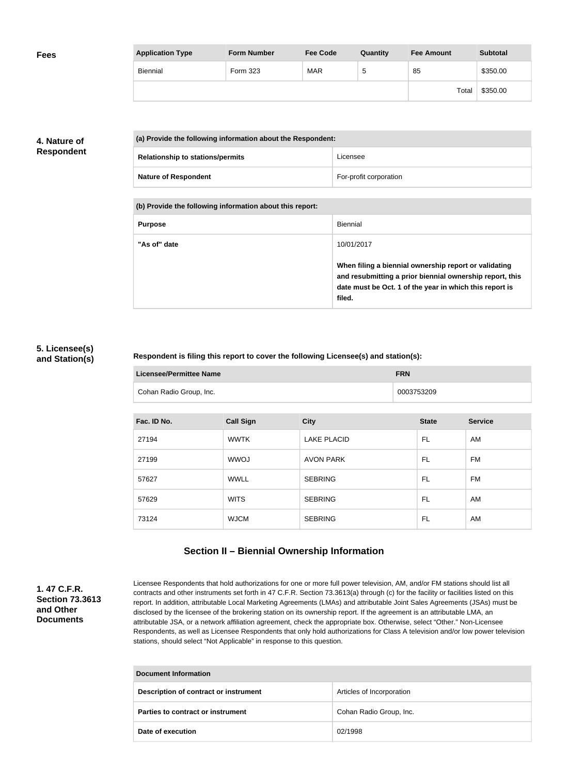| <b>Fees</b> | <b>Application Type</b> | <b>Form Number</b> | <b>Fee Code</b> | Quantity | <b>Fee Amount</b> | <b>Subtotal</b> |
|-------------|-------------------------|--------------------|-----------------|----------|-------------------|-----------------|
|             | Biennial                | Form 323           | <b>MAR</b>      | .5       | 85                | \$350.00        |
|             |                         |                    |                 |          | Total             | \$350.00        |

# **4. Nature of Respondent**

|  | (a) Provide the following information about the Respondent: |                        |  |
|--|-------------------------------------------------------------|------------------------|--|
|  | <b>Relationship to stations/permits</b>                     | Licensee               |  |
|  | <b>Nature of Respondent</b>                                 | For-profit corporation |  |

**(b) Provide the following information about this report:**

| <b>Purpose</b> | Biennial                                                                                                                                                                               |
|----------------|----------------------------------------------------------------------------------------------------------------------------------------------------------------------------------------|
| "As of" date   | 10/01/2017                                                                                                                                                                             |
|                | When filing a biennial ownership report or validating<br>and resubmitting a prior biennial ownership report, this<br>date must be Oct. 1 of the year in which this report is<br>filed. |

#### **5. Licensee(s) and Station(s)**

#### **Respondent is filing this report to cover the following Licensee(s) and station(s):**

| <b>Licensee/Permittee Name</b> | <b>FRN</b> |
|--------------------------------|------------|
| Cohan Radio Group, Inc.        | 0003753209 |

| Fac. ID No. | <b>Call Sign</b> | <b>City</b>        | <b>State</b> | <b>Service</b> |
|-------------|------------------|--------------------|--------------|----------------|
| 27194       | <b>WWTK</b>      | <b>LAKE PLACID</b> | FL           | AM             |
| 27199       | <b>WWOJ</b>      | <b>AVON PARK</b>   | FL           | <b>FM</b>      |
| 57627       | <b>WWLL</b>      | <b>SEBRING</b>     | FL           | <b>FM</b>      |
| 57629       | <b>WITS</b>      | <b>SEBRING</b>     | FL           | AM             |
| 73124       | <b>WJCM</b>      | <b>SEBRING</b>     | FL           | AM             |

# **Section II – Biennial Ownership Information**

#### **1. 47 C.F.R. Section 73.3613 and Other Documents**

Licensee Respondents that hold authorizations for one or more full power television, AM, and/or FM stations should list all contracts and other instruments set forth in 47 C.F.R. Section 73.3613(a) through (c) for the facility or facilities listed on this report. In addition, attributable Local Marketing Agreements (LMAs) and attributable Joint Sales Agreements (JSAs) must be disclosed by the licensee of the brokering station on its ownership report. If the agreement is an attributable LMA, an attributable JSA, or a network affiliation agreement, check the appropriate box. Otherwise, select "Other." Non-Licensee Respondents, as well as Licensee Respondents that only hold authorizations for Class A television and/or low power television stations, should select "Not Applicable" in response to this question.

| Document Information                  |                           |  |  |
|---------------------------------------|---------------------------|--|--|
| Description of contract or instrument | Articles of Incorporation |  |  |
| Parties to contract or instrument     | Cohan Radio Group, Inc.   |  |  |
| Date of execution                     | 02/1998                   |  |  |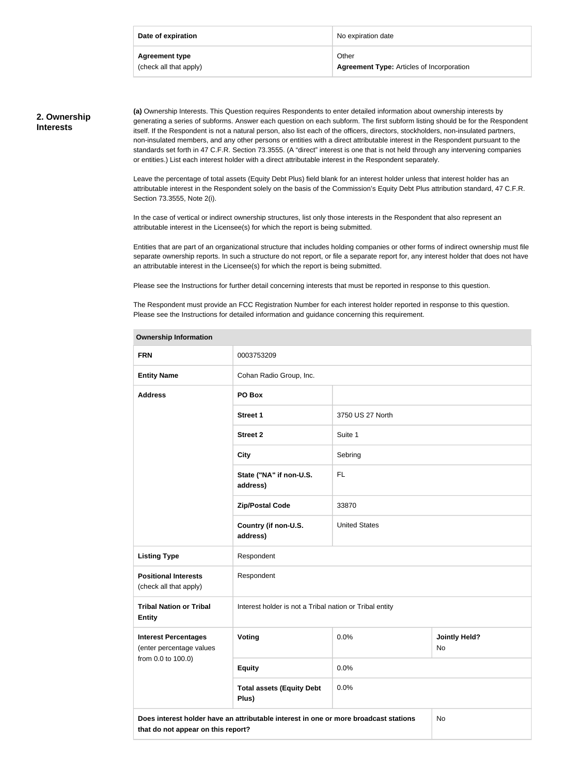| Date of expiration     | No expiration date                               |
|------------------------|--------------------------------------------------|
| <b>Agreement type</b>  | Other                                            |
| (check all that apply) | <b>Agreement Type: Articles of Incorporation</b> |

# **2. Ownership Interests**

**(a)** Ownership Interests. This Question requires Respondents to enter detailed information about ownership interests by generating a series of subforms. Answer each question on each subform. The first subform listing should be for the Respondent itself. If the Respondent is not a natural person, also list each of the officers, directors, stockholders, non-insulated partners, non-insulated members, and any other persons or entities with a direct attributable interest in the Respondent pursuant to the standards set forth in 47 C.F.R. Section 73.3555. (A "direct" interest is one that is not held through any intervening companies or entities.) List each interest holder with a direct attributable interest in the Respondent separately.

Leave the percentage of total assets (Equity Debt Plus) field blank for an interest holder unless that interest holder has an attributable interest in the Respondent solely on the basis of the Commission's Equity Debt Plus attribution standard, 47 C.F.R. Section 73.3555, Note 2(i).

In the case of vertical or indirect ownership structures, list only those interests in the Respondent that also represent an attributable interest in the Licensee(s) for which the report is being submitted.

Entities that are part of an organizational structure that includes holding companies or other forms of indirect ownership must file separate ownership reports. In such a structure do not report, or file a separate report for, any interest holder that does not have an attributable interest in the Licensee(s) for which the report is being submitted.

Please see the Instructions for further detail concerning interests that must be reported in response to this question.

**Ownership Information**

The Respondent must provide an FCC Registration Number for each interest holder reported in response to this question. Please see the Instructions for detailed information and guidance concerning this requirement.

| OWNERSHIP INTOITIRE ON                                                                                                           |                                                         |                      |                            |  |
|----------------------------------------------------------------------------------------------------------------------------------|---------------------------------------------------------|----------------------|----------------------------|--|
| <b>FRN</b>                                                                                                                       | 0003753209                                              |                      |                            |  |
| <b>Entity Name</b>                                                                                                               | Cohan Radio Group, Inc.                                 |                      |                            |  |
| <b>Address</b>                                                                                                                   | PO Box                                                  |                      |                            |  |
|                                                                                                                                  | <b>Street 1</b>                                         | 3750 US 27 North     |                            |  |
|                                                                                                                                  | <b>Street 2</b>                                         | Suite 1              |                            |  |
|                                                                                                                                  | <b>City</b>                                             | Sebring              |                            |  |
|                                                                                                                                  | State ("NA" if non-U.S.<br>address)                     | <b>FL</b>            |                            |  |
|                                                                                                                                  | <b>Zip/Postal Code</b>                                  | 33870                |                            |  |
|                                                                                                                                  | Country (if non-U.S.<br>address)                        | <b>United States</b> |                            |  |
| <b>Listing Type</b>                                                                                                              | Respondent                                              |                      |                            |  |
| <b>Positional Interests</b><br>(check all that apply)                                                                            | Respondent                                              |                      |                            |  |
| <b>Tribal Nation or Tribal</b><br><b>Entity</b>                                                                                  | Interest holder is not a Tribal nation or Tribal entity |                      |                            |  |
| <b>Interest Percentages</b><br>(enter percentage values                                                                          | Voting                                                  | 0.0%                 | <b>Jointly Held?</b><br>No |  |
| from 0.0 to 100.0)                                                                                                               | <b>Equity</b>                                           | 0.0%                 |                            |  |
|                                                                                                                                  | <b>Total assets (Equity Debt</b><br>Plus)               | 0.0%                 |                            |  |
| Does interest holder have an attributable interest in one or more broadcast stations<br>No<br>that do not appear on this report? |                                                         |                      |                            |  |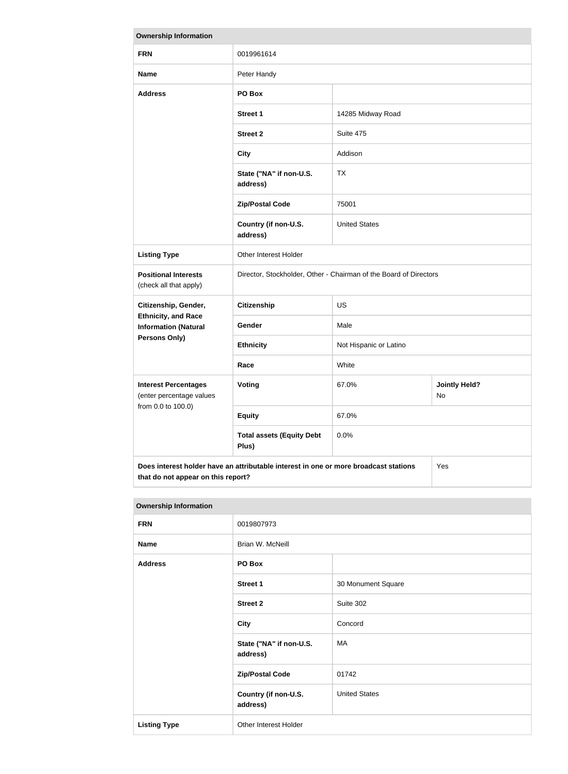| <b>Ownership Information</b>                                                                |                                           |                                                                   |                            |  |
|---------------------------------------------------------------------------------------------|-------------------------------------------|-------------------------------------------------------------------|----------------------------|--|
| <b>FRN</b>                                                                                  | 0019961614                                |                                                                   |                            |  |
| <b>Name</b>                                                                                 | Peter Handy                               |                                                                   |                            |  |
| <b>Address</b>                                                                              | PO Box                                    |                                                                   |                            |  |
|                                                                                             | <b>Street 1</b>                           | 14285 Midway Road                                                 |                            |  |
|                                                                                             | <b>Street 2</b>                           | Suite 475                                                         |                            |  |
|                                                                                             | <b>City</b>                               | Addison                                                           |                            |  |
|                                                                                             | State ("NA" if non-U.S.<br>address)       | <b>TX</b>                                                         |                            |  |
|                                                                                             | <b>Zip/Postal Code</b>                    | 75001                                                             |                            |  |
|                                                                                             | Country (if non-U.S.<br>address)          | <b>United States</b>                                              |                            |  |
| <b>Listing Type</b>                                                                         | Other Interest Holder                     |                                                                   |                            |  |
| <b>Positional Interests</b><br>(check all that apply)                                       |                                           | Director, Stockholder, Other - Chairman of the Board of Directors |                            |  |
| Citizenship, Gender,                                                                        | <b>Citizenship</b>                        | <b>US</b>                                                         |                            |  |
| <b>Ethnicity, and Race</b><br><b>Information (Natural</b>                                   | Gender                                    | Male                                                              |                            |  |
| Persons Only)                                                                               | <b>Ethnicity</b>                          | Not Hispanic or Latino                                            |                            |  |
|                                                                                             | Race                                      | White                                                             |                            |  |
| <b>Interest Percentages</b><br>(enter percentage values                                     | Voting                                    | 67.0%                                                             | <b>Jointly Held?</b><br>No |  |
| from 0.0 to 100.0)                                                                          | <b>Equity</b>                             | 67.0%                                                             |                            |  |
|                                                                                             | <b>Total assets (Equity Debt</b><br>Plus) | 0.0%                                                              |                            |  |
| Does interest holder have an attributable interest in one or more broadcast stations<br>Yes |                                           |                                                                   |                            |  |

| <b>Ownership Information</b> |                                     |                      |  |
|------------------------------|-------------------------------------|----------------------|--|
| <b>FRN</b>                   | 0019807973                          |                      |  |
| <b>Name</b>                  | Brian W. McNeill                    |                      |  |
| <b>Address</b>               | PO Box                              |                      |  |
|                              | <b>Street 1</b>                     | 30 Monument Square   |  |
|                              | <b>Street 2</b>                     | Suite 302            |  |
|                              | <b>City</b>                         | Concord              |  |
|                              | State ("NA" if non-U.S.<br>address) | MA                   |  |
|                              | <b>Zip/Postal Code</b>              | 01742                |  |
|                              | Country (if non-U.S.<br>address)    | <b>United States</b> |  |
| <b>Listing Type</b>          | Other Interest Holder               |                      |  |

**that do not appear on this report?**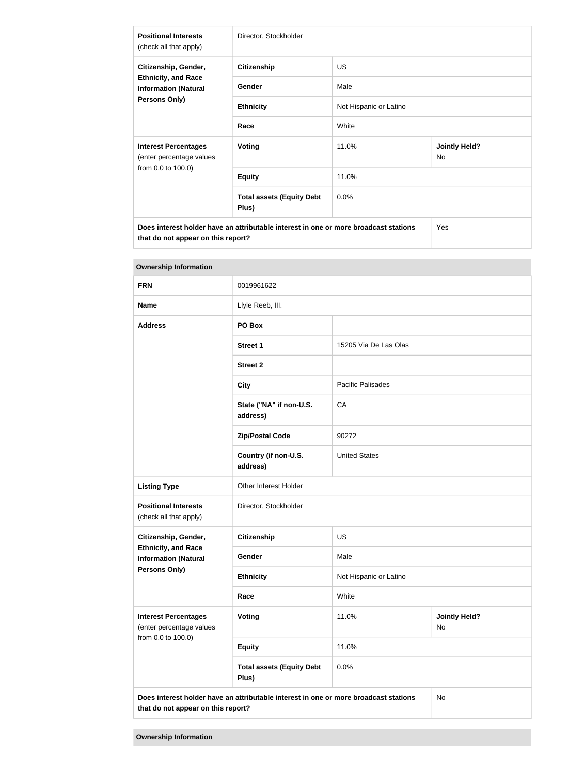| <b>Positional Interests</b><br>(check all that apply)                                                     | Director, Stockholder                                                                |                        |                                   |
|-----------------------------------------------------------------------------------------------------------|--------------------------------------------------------------------------------------|------------------------|-----------------------------------|
| Citizenship, Gender,<br><b>Ethnicity, and Race</b><br><b>Information (Natural</b><br><b>Persons Only)</b> | <b>Citizenship</b>                                                                   | US.                    |                                   |
|                                                                                                           | Gender                                                                               | Male                   |                                   |
|                                                                                                           | <b>Ethnicity</b>                                                                     | Not Hispanic or Latino |                                   |
|                                                                                                           | Race                                                                                 | White                  |                                   |
| <b>Interest Percentages</b><br>(enter percentage values<br>from 0.0 to 100.0)                             | <b>Voting</b>                                                                        | 11.0%                  | <b>Jointly Held?</b><br><b>No</b> |
|                                                                                                           | <b>Equity</b>                                                                        | 11.0%                  |                                   |
|                                                                                                           | <b>Total assets (Equity Debt</b><br>Plus)                                            | 0.0%                   |                                   |
| that do not appear on this report?                                                                        | Does interest holder have an attributable interest in one or more broadcast stations |                        | Yes                               |

**Ownership Information FRN** 0019961622 **Name** Llyle Reeb, III. **Address PO Box Street 1** 15205 Via De Las Olas **Street 2 City Pacific Palisades State ("NA" if non-U.S. address)** CA **Zip/Postal Code** 90272 **Country (if non-U.S. address)** United States Listing Type **Conservation Conservation** Other Interest Holder **Positional Interests** (check all that apply) Director, Stockholder **Citizenship, Gender, Ethnicity, and Race Information (Natural Persons Only) Citizenship** US Gender Male **Ethnicity** Not Hispanic or Latino **Race** White **Interest Percentages** (enter percentage values from 0.0 to 100.0) **Voting 11.0% / Voting 11.0% / Voting 11.0% / Voting 11.0% / Voting 12.0 million 12.0 million 12.0 million 12.0 million 12.0 million 12.0 million 12.0 million 12.0 million 12.0 million 12.0 million 12.0 million 12.0 millio** No **Equity** 11.0% **Total assets (Equity Debt Plus)** 0.0% No

**Does interest holder have an attributable interest in one or more broadcast stations that do not appear on this report?**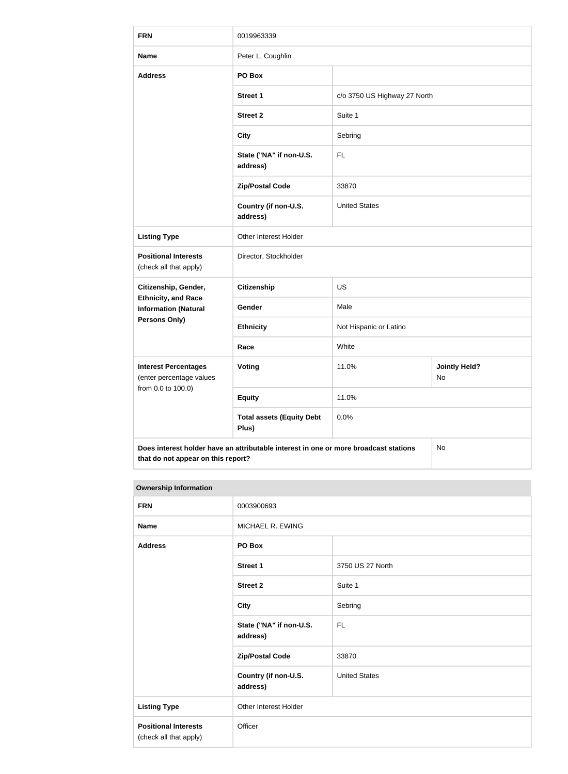| <b>FRN</b>                                                                                                                 | 0019963339                                |                              |                            |
|----------------------------------------------------------------------------------------------------------------------------|-------------------------------------------|------------------------------|----------------------------|
| <b>Name</b>                                                                                                                | Peter L. Coughlin                         |                              |                            |
| <b>Address</b>                                                                                                             | PO Box                                    |                              |                            |
|                                                                                                                            | <b>Street 1</b>                           | c/o 3750 US Highway 27 North |                            |
|                                                                                                                            | <b>Street 2</b>                           | Suite 1                      |                            |
|                                                                                                                            | <b>City</b>                               | Sebring                      |                            |
|                                                                                                                            | State ("NA" if non-U.S.<br>address)       | <b>FL</b>                    |                            |
|                                                                                                                            | <b>Zip/Postal Code</b>                    | 33870                        |                            |
|                                                                                                                            | Country (if non-U.S.<br>address)          | <b>United States</b>         |                            |
| <b>Listing Type</b>                                                                                                        | Other Interest Holder                     |                              |                            |
| <b>Positional Interests</b><br>(check all that apply)                                                                      | Director, Stockholder                     |                              |                            |
| Citizenship, Gender,                                                                                                       | <b>Citizenship</b>                        | US                           |                            |
| <b>Ethnicity, and Race</b><br><b>Information (Natural</b>                                                                  | Gender                                    | Male                         |                            |
| Persons Only)                                                                                                              | <b>Ethnicity</b>                          | Not Hispanic or Latino       |                            |
|                                                                                                                            | Race                                      | White                        |                            |
| <b>Interest Percentages</b><br>(enter percentage values                                                                    | <b>Voting</b>                             | 11.0%                        | <b>Jointly Held?</b><br>No |
| from 0.0 to 100.0)                                                                                                         | <b>Equity</b>                             | 11.0%                        |                            |
|                                                                                                                            | <b>Total assets (Equity Debt</b><br>Plus) | 0.0%                         |                            |
| Does interest holder have an attributable interest in one or more broadcast stations<br>that do not appear on this report? |                                           |                              | No                         |

| <b>Ownership Information</b> |
|------------------------------|

| <b>FRN</b>                                            | 0003900693                          |                      |
|-------------------------------------------------------|-------------------------------------|----------------------|
| <b>Name</b>                                           | MICHAEL R. EWING                    |                      |
| <b>Address</b>                                        | PO Box                              |                      |
|                                                       | Street 1                            | 3750 US 27 North     |
|                                                       | <b>Street 2</b>                     | Suite 1              |
|                                                       | <b>City</b>                         | Sebring              |
|                                                       | State ("NA" if non-U.S.<br>address) | <b>FL</b>            |
|                                                       | <b>Zip/Postal Code</b>              | 33870                |
|                                                       | Country (if non-U.S.<br>address)    | <b>United States</b> |
| <b>Listing Type</b>                                   | Other Interest Holder               |                      |
| <b>Positional Interests</b><br>(check all that apply) | Officer                             |                      |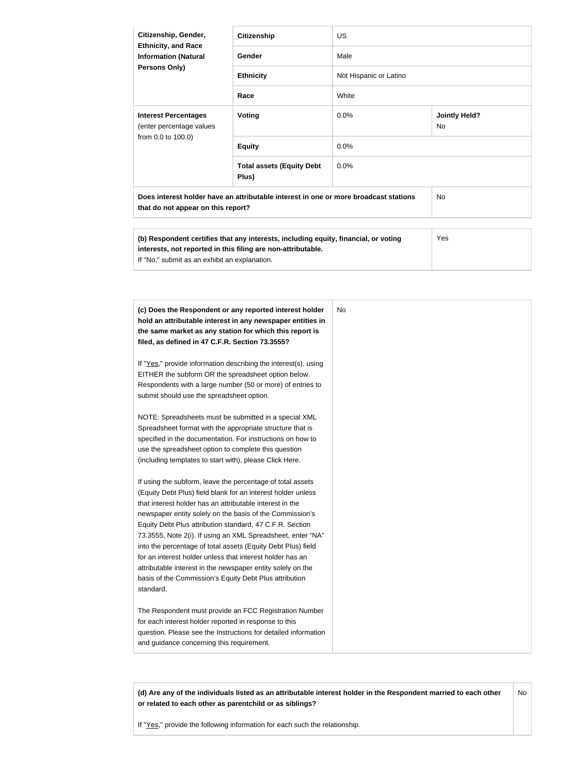| Citizenship, Gender,<br><b>Ethnicity, and Race</b><br><b>Information (Natural</b><br><b>Persons Only)</b> | <b>Citizenship</b>                                                                   | <b>US</b>              |                                   |
|-----------------------------------------------------------------------------------------------------------|--------------------------------------------------------------------------------------|------------------------|-----------------------------------|
|                                                                                                           | Gender                                                                               | Male                   |                                   |
|                                                                                                           | <b>Ethnicity</b>                                                                     | Not Hispanic or Latino |                                   |
|                                                                                                           | Race                                                                                 | White                  |                                   |
| <b>Interest Percentages</b><br>(enter percentage values                                                   | Voting                                                                               | $0.0\%$                | <b>Jointly Held?</b><br><b>No</b> |
| from 0.0 to 100.0)                                                                                        | <b>Equity</b>                                                                        | 0.0%                   |                                   |
|                                                                                                           | <b>Total assets (Equity Debt</b><br>Plus)                                            | 0.0%                   |                                   |
| that do not appear on this report?                                                                        | Does interest holder have an attributable interest in one or more broadcast stations |                        | <b>No</b>                         |

| (b) Respondent certifies that any interests, including equity, financial, or voting<br>interests, not reported in this filing are non-attributable.<br>If "No," submit as an exhibit an explanation. | <b>Yes</b> |
|------------------------------------------------------------------------------------------------------------------------------------------------------------------------------------------------------|------------|
|------------------------------------------------------------------------------------------------------------------------------------------------------------------------------------------------------|------------|

| (c) Does the Respondent or any reported interest holder         | No |
|-----------------------------------------------------------------|----|
| hold an attributable interest in any newspaper entities in      |    |
| the same market as any station for which this report is         |    |
| filed, as defined in 47 C.F.R. Section 73.3555?                 |    |
| If "Yes," provide information describing the interest(s), using |    |
| EITHER the subform OR the spreadsheet option below.             |    |
| Respondents with a large number (50 or more) of entries to      |    |
| submit should use the spreadsheet option.                       |    |
| NOTE: Spreadsheets must be submitted in a special XML           |    |
| Spreadsheet format with the appropriate structure that is       |    |
| specified in the documentation. For instructions on how to      |    |
| use the spreadsheet option to complete this question            |    |
| (including templates to start with), please Click Here.         |    |
| If using the subform, leave the percentage of total assets      |    |
| (Equity Debt Plus) field blank for an interest holder unless    |    |
| that interest holder has an attributable interest in the        |    |
| newspaper entity solely on the basis of the Commission's        |    |
| Equity Debt Plus attribution standard, 47 C.F.R. Section        |    |
| 73.3555, Note 2(i). If using an XML Spreadsheet, enter "NA"     |    |
| into the percentage of total assets (Equity Debt Plus) field    |    |
| for an interest holder unless that interest holder has an       |    |
| attributable interest in the newspaper entity solely on the     |    |
| basis of the Commission's Equity Debt Plus attribution          |    |
| standard.                                                       |    |
| The Respondent must provide an FCC Registration Number          |    |
| for each interest holder reported in response to this           |    |
| question. Please see the Instructions for detailed information  |    |
| and guidance concerning this requirement.                       |    |

**(d) Are any of the individuals listed as an attributable interest holder in the Respondent married to each other or related to each other as parentchild or as siblings?** No

If "Yes," provide the following information for each such the relationship.